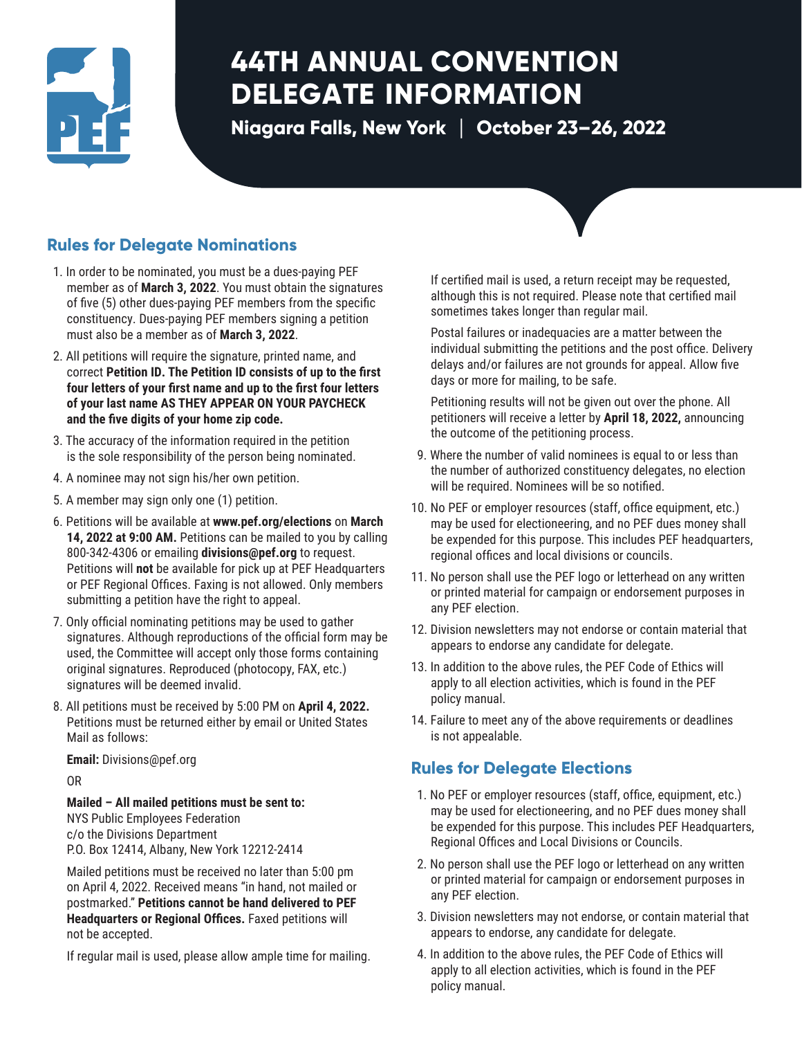

# **44TH ANNUAL CONVENTION DELEGATE INFORMATION**

**Niagara Falls, New York** | **October 23–26, 2022**

# **Rules for Delegate Nominations**

- 1. In order to be nominated, you must be a dues-paying PEF member as of **March 3, 2022**. You must obtain the signatures of five (5) other dues-paying PEF members from the specific constituency. Dues-paying PEF members signing a petition must also be a member as of **March 3, 2022**.
- 2. All petitions will require the signature, printed name, and correct **Petition ID. The Petition ID consists of up to the first four letters of your first name and up to the first four letters of your last name AS THEY APPEAR ON YOUR PAYCHECK and the five digits of your home zip code.**
- 3. The accuracy of the information required in the petition is the sole responsibility of the person being nominated.
- 4. A nominee may not sign his/her own petition.
- 5. A member may sign only one (1) petition.
- 6. Petitions will be available at **www.pef.org/elections** on **March 14, 2022 at 9:00 AM.** Petitions can be mailed to you by calling 800-342-4306 or emailing **divisions@pef.org** to request. Petitions will **not** be available for pick up at PEF Headquarters or PEF Regional Offices. Faxing is not allowed. Only members submitting a petition have the right to appeal.
- 7. Only official nominating petitions may be used to gather signatures. Although reproductions of the official form may be used, the Committee will accept only those forms containing original signatures. Reproduced (photocopy, FAX, etc.) signatures will be deemed invalid.
- 8. All petitions must be received by 5:00 PM on **April 4, 2022.** Petitions must be returned either by email or United States Mail as follows:

**Email:** Divisions@pef.org

OR

**Mailed – All mailed petitions must be sent to:**  NYS Public Employees Federation c/o the Divisions Department P.O. Box 12414, Albany, New York 12212-2414

Mailed petitions must be received no later than 5:00 pm on April 4, 2022. Received means "in hand, not mailed or postmarked." **Petitions cannot be hand delivered to PEF Headquarters or Regional Offices.** Faxed petitions will not be accepted.

If regular mail is used, please allow ample time for mailing.

If certified mail is used, a return receipt may be requested, although this is not required. Please note that certified mail sometimes takes longer than regular mail.

Postal failures or inadequacies are a matter between the individual submitting the petitions and the post office. Delivery delays and/or failures are not grounds for appeal. Allow five days or more for mailing, to be safe.

Petitioning results will not be given out over the phone. All petitioners will receive a letter by **April 18, 2022,** announcing the outcome of the petitioning process.

- 9. Where the number of valid nominees is equal to or less than the number of authorized constituency delegates, no election will be required. Nominees will be so notified.
- 10. No PEF or employer resources (staff, office equipment, etc.) may be used for electioneering, and no PEF dues money shall be expended for this purpose. This includes PEF headquarters, regional offices and local divisions or councils.
- 11. No person shall use the PEF logo or letterhead on any written or printed material for campaign or endorsement purposes in any PEF election.
- 12. Division newsletters may not endorse or contain material that appears to endorse any candidate for delegate.
- 13. In addition to the above rules, the PEF Code of Ethics will apply to all election activities, which is found in the PEF policy manual.
- 14. Failure to meet any of the above requirements or deadlines is not appealable.

# **Rules for Delegate Elections**

- 1. No PEF or employer resources (staff, office, equipment, etc.) may be used for electioneering, and no PEF dues money shall be expended for this purpose. This includes PEF Headquarters, Regional Offices and Local Divisions or Councils.
- 2. No person shall use the PEF logo or letterhead on any written or printed material for campaign or endorsement purposes in any PEF election.
- 3. Division newsletters may not endorse, or contain material that appears to endorse, any candidate for delegate.
- 4. In addition to the above rules, the PEF Code of Ethics will apply to all election activities, which is found in the PEF policy manual.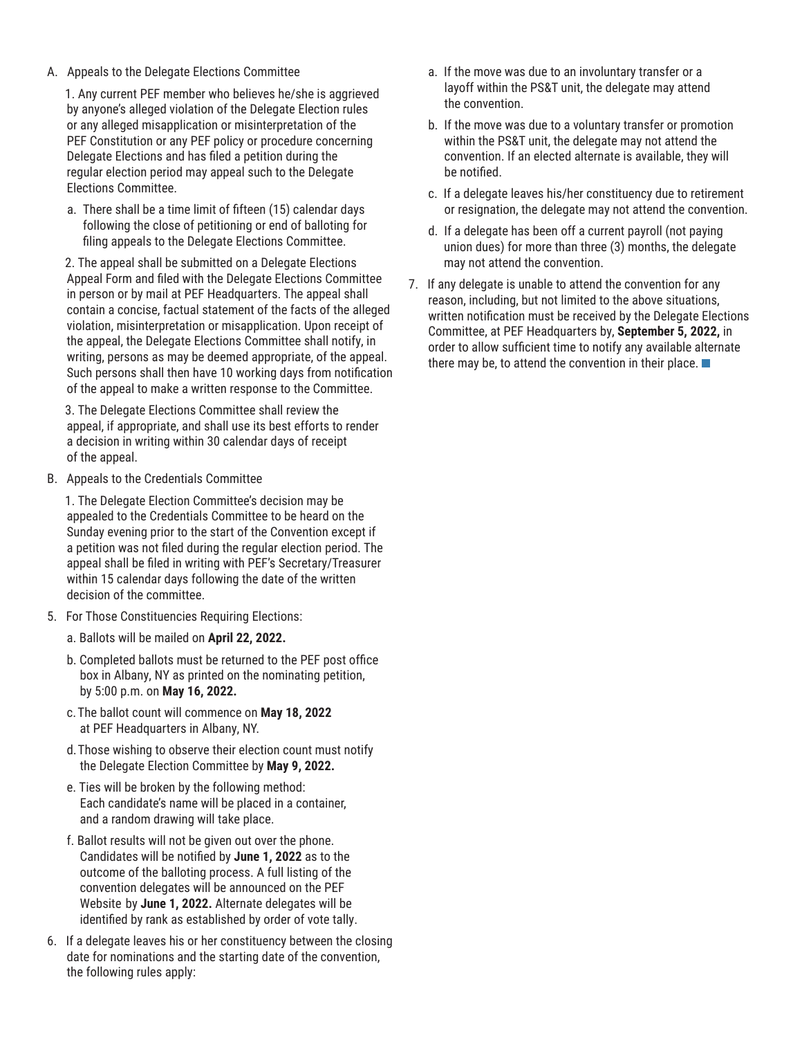A. Appeals to the Delegate Elections Committee

 1. Any current PEF member who believes he/she is aggrieved by anyone's alleged violation of the Delegate Election rules or any alleged misapplication or misinterpretation of the PEF Constitution or any PEF policy or procedure concerning Delegate Elections and has filed a petition during the regular election period may appeal such to the Delegate Elections Committee.

 a. There shall be a time limit of fifteen (15) calendar days following the close of petitioning or end of balloting for filing appeals to the Delegate Elections Committee.

 2. The appeal shall be submitted on a Delegate Elections Appeal Form and filed with the Delegate Elections Committee in person or by mail at PEF Headquarters. The appeal shall contain a concise, factual statement of the facts of the alleged violation, misinterpretation or misapplication. Upon receipt of the appeal, the Delegate Elections Committee shall notify, in writing, persons as may be deemed appropriate, of the appeal. Such persons shall then have 10 working days from notification of the appeal to make a written response to the Committee.

 3. The Delegate Elections Committee shall review the appeal, if appropriate, and shall use its best efforts to render a decision in writing within 30 calendar days of receipt of the appeal.

B. Appeals to the Credentials Committee

 1. The Delegate Election Committee's decision may be appealed to the Credentials Committee to be heard on the Sunday evening prior to the start of the Convention except if a petition was not filed during the regular election period. The appeal shall be filed in writing with PEF's Secretary/Treasurer within 15 calendar days following the date of the written decision of the committee.

- 5. For Those Constituencies Requiring Elections:
	- a. Ballots will be mailed on **April 22, 2022.**
	- b. Completed ballots must be returned to the PEF post office box in Albany, NY as printed on the nominating petition, by 5:00 p.m. on **May 16, 2022.**
	- c. The ballot count will commence on **May 18, 2022** at PEF Headquarters in Albany, NY.
	- d. Those wishing to observe their election count must notify the Delegate Election Committee by **May 9, 2022.**
	- e. Ties will be broken by the following method: Each candidate's name will be placed in a container, and a random drawing will take place.
	- f. Ballot results will not be given out over the phone. Candidates will be notified by **June 1, 2022** as to the outcome of the balloting process. A full listing of the convention delegates will be announced on the PEF Website by **June 1, 2022.** Alternate delegates will be identified by rank as established by order of vote tally.
- 6. If a delegate leaves his or her constituency between the closing date for nominations and the starting date of the convention, the following rules apply:
- a. If the move was due to an involuntary transfer or a layoff within the PS&T unit, the delegate may attend the convention.
- b. If the move was due to a voluntary transfer or promotion within the PS&T unit, the delegate may not attend the convention. If an elected alternate is available, they will be notified.
- c. If a delegate leaves his/her constituency due to retirement or resignation, the delegate may not attend the convention.
- d. If a delegate has been off a current payroll (not paying union dues) for more than three (3) months, the delegate may not attend the convention.
- 7. If any delegate is unable to attend the convention for any reason, including, but not limited to the above situations, written notification must be received by the Delegate Elections Committee, at PEF Headquarters by, **September 5, 2022,** in order to allow sufficient time to notify any available alternate there may be, to attend the convention in their place.  $\blacksquare$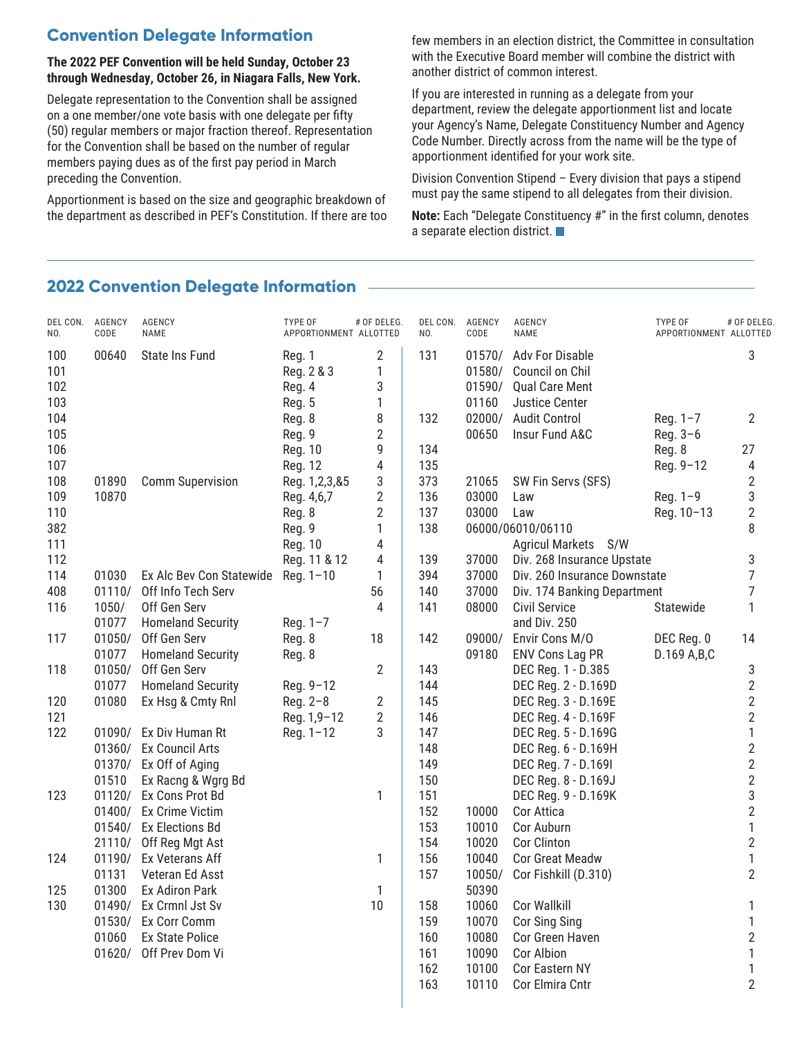#### **The 2022 PEF Convention will be held Sunday, October 23 through Wednesday, October 26, in Niagara Falls, New York.**

Delegate representation to the Convention shall be assigned on a one member/one vote basis with one delegate per fifty (50) regular members or major fraction thereof. Representation for the Convention shall be based on the number of regular members paying dues as of the first pay period in March preceding the Convention.

Apportionment is based on the size and geographic breakdown of the department as described in PEF's Constitution. If there are too few members in an election district, the Committee in consultation with the Executive Board member will combine the district with another district of common interest.

If you are interested in running as a delegate from your department, review the delegate apportionment list and locate your Agency's Name, Delegate Constituency Number and Agency Code Number. Directly across from the name will be the type of apportionment identified for your work site.

Division Convention Stipend – Every division that pays a stipend must pay the same stipend to all delegates from their division.

**Note:** Each "Delegate Constituency #" in the first column, denotes a separate election district.

#### **2022 Convention Delegate Information**

| DEL CON.<br>NO.          | AGENCY<br>CODE   | AGENCY<br>NAME                            | <b>TYPE OF</b><br>APPORTIONMENT ALLOTTED | # OF DELEG.      | DEL CON.<br>NO. | AGENCY<br>CODE                      | AGENCY<br>NAME                                                                       | TYPE OF<br>APPORTIONMENT ALLOTTED | # OF DELEG.                    |
|--------------------------|------------------|-------------------------------------------|------------------------------------------|------------------|-----------------|-------------------------------------|--------------------------------------------------------------------------------------|-----------------------------------|--------------------------------|
| 100<br>101<br>102<br>103 | 00640            | State Ins Fund                            | Reg. 1<br>Reg. 2 & 3<br>Reg. 4<br>Reg. 5 | 2<br>1<br>3<br>1 | 131             | 01570/<br>01580/<br>01590/<br>01160 | Adv For Disable<br>Council on Chil<br><b>Qual Care Ment</b><br><b>Justice Center</b> |                                   | 3                              |
| 104                      |                  |                                           | Reg. 8                                   | 8                | 132             | 02000/                              | <b>Audit Control</b>                                                                 | Reg. 1-7                          | 2                              |
| 105                      |                  |                                           | Reg. 9                                   | $\overline{2}$   |                 | 00650                               | Insur Fund A&C                                                                       | Reg. 3-6                          |                                |
| 106<br>107               |                  |                                           | Reg. 10                                  | 9<br>4           | 134<br>135      |                                     |                                                                                      | Reg. 8                            | 27                             |
| 108                      | 01890            | <b>Comm Supervision</b>                   | Reg. 12<br>Reg. 1,2,3,&5                 | 3                | 373             | 21065                               | SW Fin Servs (SFS)                                                                   | Reg. 9-12                         | 4<br>$\sqrt{2}$                |
| 109                      | 10870            |                                           | Reg. 4,6,7                               | $\overline{2}$   | 136             | 03000                               | Law                                                                                  | Reg. $1-9$                        | 3                              |
| 110                      |                  |                                           | Reg. 8                                   | $\overline{2}$   | 137             | 03000                               | Law                                                                                  | Reg. 10-13                        | $\overline{2}$                 |
| 382                      |                  |                                           | Reg. 9                                   | 1                | 138             |                                     | 06000/06010/06110                                                                    |                                   | 8                              |
| 111                      |                  |                                           | Reg. 10                                  | 4                |                 |                                     | Agricul Markets S/W                                                                  |                                   |                                |
| 112                      |                  |                                           | Reg. 11 & 12                             | 4                | 139             | 37000                               | Div. 268 Insurance Upstate                                                           |                                   | 3                              |
| 114                      | 01030            | Ex Alc Bev Con Statewide                  | Reg. 1-10                                | 1                | 394             | 37000                               | Div. 260 Insurance Downstate                                                         |                                   | $\overline{7}$                 |
| 408                      | 01110/           | Off Info Tech Serv                        |                                          | 56               | 140             | 37000                               | Div. 174 Banking Department                                                          |                                   | $\overline{7}$                 |
| 116                      | 1050/            | Off Gen Serv                              |                                          | 4                | 141             | 08000                               | <b>Civil Service</b>                                                                 | Statewide                         | 1                              |
|                          | 01077            | <b>Homeland Security</b>                  | Reg. 1-7                                 |                  |                 |                                     | and Div. 250                                                                         |                                   |                                |
| 117                      | 01050/           | Off Gen Serv                              | Reg. 8                                   | 18               | 142             | 09000/                              | Envir Cons M/O                                                                       | DEC Reg. 0                        | 14                             |
|                          | 01077            | <b>Homeland Security</b>                  | Reg. 8                                   |                  |                 | 09180                               | <b>ENV Cons Lag PR</b>                                                               | D.169 A,B,C                       |                                |
| 118                      | 01050/           | Off Gen Serv                              |                                          | 2                | 143             |                                     | DEC Reg. 1 - D.385                                                                   |                                   | 3                              |
|                          | 01077            | <b>Homeland Security</b>                  | Reg. 9-12                                |                  | 144             |                                     | DEC Reg. 2 - D.169D                                                                  |                                   | $\sqrt{2}$                     |
| 120                      | 01080            | Ex Hsg & Cmty Rnl                         | $Reg. 2-8$                               | 2                | 145             |                                     | DEC Reg. 3 - D.169E                                                                  |                                   | $\overline{2}$                 |
| 121                      |                  |                                           | Reg. 1,9-12                              | 2                | 146             |                                     | DEC Reg. 4 - D.169F                                                                  |                                   | $\mathbf 2$                    |
| 122                      | 01090/           | Ex Div Human Rt                           | Reg. 1-12                                | 3                | 147             |                                     | DEC Reg. 5 - D.169G                                                                  |                                   | 1                              |
|                          | 01360/<br>01370/ | <b>Ex Council Arts</b><br>Ex Off of Aging |                                          |                  | 148<br>149      |                                     | DEC Reg. 6 - D.169H<br>DEC Reg. 7 - D.1691                                           |                                   | $\sqrt{2}$<br>$\boldsymbol{2}$ |
|                          | 01510            | Ex Racng & Wgrg Bd                        |                                          |                  | 150             |                                     | DEC Reg. 8 - D.169J                                                                  |                                   | $\boldsymbol{2}$               |
| 123                      | 01120/           | Ex Cons Prot Bd                           |                                          | 1                | 151             |                                     | DEC Reg. 9 - D.169K                                                                  |                                   | 3                              |
|                          | 01400/           | Ex Crime Victim                           |                                          |                  | 152             | 10000                               | Cor Attica                                                                           |                                   | $\overline{2}$                 |
|                          | 01540/           | <b>Ex Elections Bd</b>                    |                                          |                  | 153             | 10010                               | Cor Auburn                                                                           |                                   | $\mathbf{1}$                   |
|                          | 21110/           | Off Reg Mgt Ast                           |                                          |                  | 154             | 10020                               | Cor Clinton                                                                          |                                   | $\sqrt{2}$                     |
| 124                      | 01190/           | Ex Veterans Aff                           |                                          | 1                | 156             | 10040                               | <b>Cor Great Meadw</b>                                                               |                                   | $\mathbf{1}$                   |
|                          | 01131            | Veteran Ed Asst                           |                                          |                  | 157             | 10050/                              | Cor Fishkill (D.310)                                                                 |                                   | $\overline{2}$                 |
| 125                      | 01300            | Ex Adiron Park                            |                                          | 1                |                 | 50390                               |                                                                                      |                                   |                                |
| 130                      |                  | 01490/ Ex Crmnl Jst Sv                    |                                          | 10               | 158             | 10060                               | Cor Wallkill                                                                         |                                   |                                |
|                          | 01530/           | Ex Corr Comm                              |                                          |                  | 159             | 10070                               | Cor Sing Sing                                                                        |                                   | 1                              |
|                          | 01060            | <b>Ex State Police</b>                    |                                          |                  | 160             | 10080                               | Cor Green Haven                                                                      |                                   | $\overline{2}$                 |
|                          | 01620/           | Off Prev Dom Vi                           |                                          |                  | 161             | 10090                               | Cor Albion                                                                           |                                   | 1                              |
|                          |                  |                                           |                                          |                  | 162             | 10100                               | Cor Eastern NY                                                                       |                                   | 1                              |
|                          |                  |                                           |                                          |                  | 163             | 10110                               | Cor Elmira Cntr                                                                      |                                   | $\overline{2}$                 |
|                          |                  |                                           |                                          |                  |                 |                                     |                                                                                      |                                   |                                |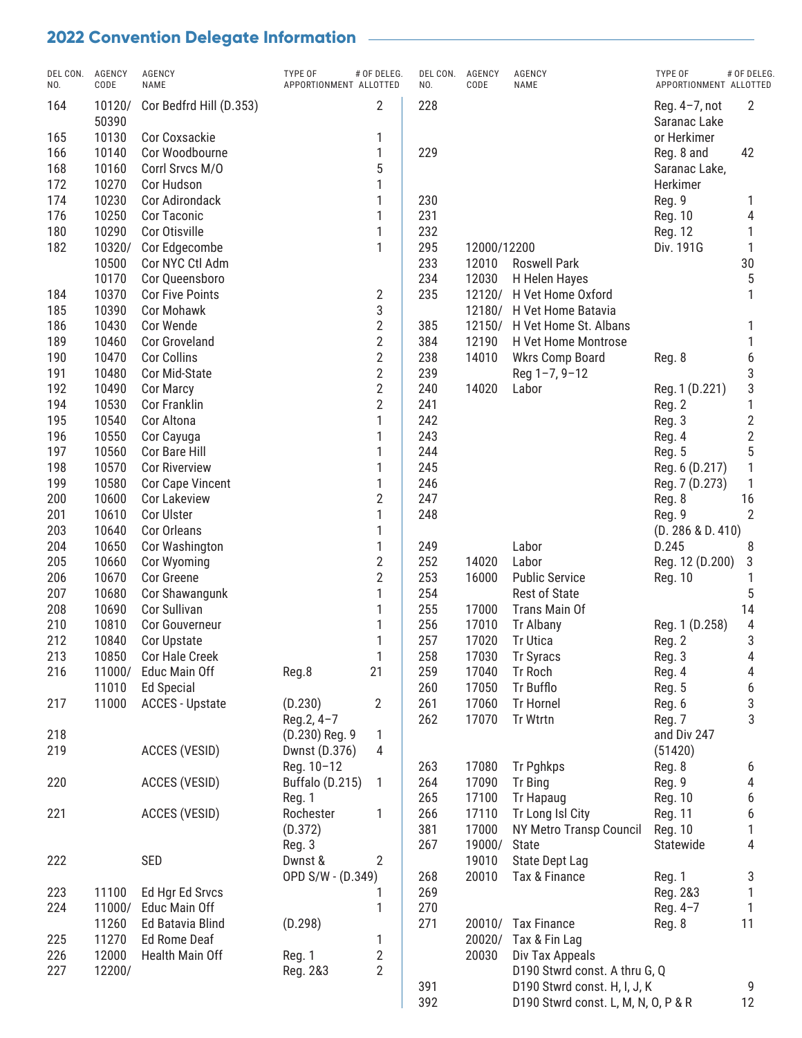| $\overline{2}$<br>228<br>164<br>2<br>10120/<br>Cor Bedfrd Hill (D.353)<br>Reg. 4-7, not<br>50390<br>Saranac Lake<br>10130<br>or Herkimer<br>165<br>Cor Coxsackie<br>1<br>166<br>10140<br>Cor Woodbourne<br>1<br>229<br>Reg. 8 and<br>42<br>5<br>168<br>10160<br>Corrl Srvcs M/O<br>Saranac Lake,<br>172<br>10270<br>Cor Hudson<br>1<br>Herkimer<br>174<br>10230<br>Cor Adirondack<br>230<br>Reg. 9<br>1<br>1<br>231<br>176<br>10250<br>Cor Taconic<br>1<br>Reg. 10<br>4<br>1<br>232<br>180<br>10290<br>Cor Otisville<br>Reg. 12<br>295<br>182<br>10320/<br>Cor Edgecombe<br>1<br>12000/12200<br>Div. 191G<br>1<br>233<br>10500<br>Cor NYC Ctl Adm<br><b>Roswell Park</b><br>30<br>12010<br>5<br>10170<br>234<br>12030<br>Cor Queensboro<br>H Helen Hayes<br>235<br>10370<br><b>Cor Five Points</b><br>$\overline{2}$<br>12120/<br>184<br>H Vet Home Oxford<br>1<br>3<br>185<br>10390<br><b>Cor Mohawk</b><br>12180/<br>H Vet Home Batavia<br>$\sqrt{2}$<br>186<br>10430<br>Cor Wende<br>385<br>12150/<br>H Vet Home St. Albans<br>$\overline{2}$<br>384<br>189<br>10460<br>12190<br>Cor Groveland<br>H Vet Home Montrose<br>$\sqrt{2}$<br>238<br>190<br>10470<br><b>Cor Collins</b><br>14010<br>6<br>Wkrs Comp Board<br>Reg. 8<br>$\overline{2}$<br>3<br>191<br>10480<br>Cor Mid-State<br>239<br>Reg 1-7, 9-12<br>$\sqrt{2}$<br>240<br>3<br>192<br>10490<br>14020<br>Cor Marcy<br>Labor<br>Reg. 1 (D.221)<br>$\overline{2}$<br>241<br>194<br>10530<br>1<br>Cor Franklin<br>Reg. 2<br>1<br>242<br>$\overline{2}$<br>195<br>10540<br>Cor Altona<br>Reg. 3<br>$\overline{2}$<br>243<br>196<br>10550<br>1<br>Cor Cayuga<br>Reg. 4<br>5<br>244<br>197<br>10560<br>Cor Bare Hill<br>1<br><b>Reg. 5</b><br>198<br>10570<br><b>Cor Riverview</b><br>245<br>1<br>1<br>Reg. 6 (D.217)<br>246<br>199<br>10580<br>1<br>Cor Cape Vincent<br>1<br>Reg. 7 (D.273)<br>$\overline{2}$<br>247<br>200<br>10600<br>Cor Lakeview<br>16<br>Reg. 8<br>1<br>201<br>10610<br>Cor Ulster<br>248<br>2<br>Reg. 9<br>203<br>10640<br>Cor Orleans<br>1<br>(D. 286 & D. 410)<br>1<br>204<br>10650<br>249<br>Labor<br>Cor Washington<br>D.245<br>8<br>$\overline{2}$<br>252<br>205<br>10660<br>14020<br>Labor<br>Cor Wyoming<br>Reg. 12 (D.200)<br>3<br>$\overline{2}$<br>253<br>206<br>10670<br><b>Public Service</b><br>Cor Greene<br>16000<br>1<br>Reg. 10<br>1<br>254<br>207<br>10680<br>Rest of State<br>5<br>Cor Shawangunk<br>255<br>208<br>10690<br>17000<br>Trans Main Of<br>14<br><b>Cor Sullivan</b><br>1<br>256<br>210<br>10810<br>17010<br>4<br>Cor Gouverneur<br>1<br>Tr Albany<br>Reg. 1 (D.258)<br>257<br>212<br>10840<br>17020<br><b>Tr Utica</b><br>3<br>1<br>Cor Upstate<br>Reg. 2<br>10850<br>258<br>17030<br>Tr Syracs<br>213<br>Cor Hale Creek<br>1<br>4<br>Reg. 3<br>21<br>4<br>11000/<br>Educ Main Off<br>Reg.8<br>259<br>17040<br>Reg. 4<br>216<br>Tr Roch<br>6<br>260<br>11010<br>Ed Special<br>17050<br>Tr Bufflo<br>Reg. 5<br>3<br>261<br>11000<br>(D.230)<br>2<br>17060<br><b>Tr Hornel</b><br>Reg. 6<br>217<br><b>ACCES - Upstate</b><br>3<br>Tr Wtrtn<br>Reg.2, 4-7<br>262<br>17070<br>Reg. 7<br>218<br>and Div 247<br>(D.230) Reg. 9<br>1<br>219<br>ACCES (VESID)<br>4<br>(51420)<br>Dwnst (D.376)<br>Reg. 10-12<br>263<br>17080<br><b>Tr Pghkps</b><br>Reg. 8<br>6<br>4<br>ACCES (VESID)<br>Buffalo (D.215)<br>264<br>17090<br>Tr Bing<br>Reg. 9<br>220<br>1<br>6<br>265<br>17100<br><b>Tr Hapaug</b><br>Reg. 10<br>Reg. 1<br>6<br>ACCES (VESID)<br>Rochester<br>266<br>17110<br>Tr Long Isl City<br>Reg. 11<br>221<br>1<br>1<br>381<br>(D.372)<br>17000<br>NY Metro Transp Council<br>Reg. 10<br>4<br>267<br>19000/<br>Statewide<br>Reg. 3<br><b>State</b><br>SED<br>Dwnst &<br>19010<br>State Dept Lag<br>222<br>2<br>OPD S/W - (D.349)<br>268<br>20010<br>Tax & Finance<br>Reg. 1<br>3<br>1<br>223<br>11100<br>Ed Hgr Ed Srvcs<br>269<br>Reg. 2&3<br>$\mathbf{1}$<br>270<br>11000/<br>Educ Main Off<br>1<br>Reg. 4-7<br>224<br>11<br>271<br>11260<br>Ed Batavia Blind<br>(D.298)<br>20010/ Tax Finance<br>Reg. 8<br>225<br>11270<br>Ed Rome Deaf<br>$\mathbf{1}$<br>20020/<br>Tax & Fin Lag<br>$\overline{2}$<br>226<br>12000<br>Health Main Off<br>Reg. 1<br>20030<br>Div Tax Appeals<br>$\mathbf{2}$<br>227<br>12200/<br>D190 Stwrd const. A thru G, Q<br>Reg. 2&3<br>391<br>D190 Stwrd const. H, I, J, K<br>9<br>D190 Stwrd const. L, M, N, O, P & R | DEL CON. AGENCY<br>NO. | CODE | AGENCY<br>NAME | TYPE OF<br># OF DELEG.<br>APPORTIONMENT ALLOTTED | DEL CON.<br>NO. | AGENCY<br>CODE | AGENCY<br>NAME | TYPE OF<br>APPORTIONMENT ALLOTTED | # OF DELEG. |
|-------------------------------------------------------------------------------------------------------------------------------------------------------------------------------------------------------------------------------------------------------------------------------------------------------------------------------------------------------------------------------------------------------------------------------------------------------------------------------------------------------------------------------------------------------------------------------------------------------------------------------------------------------------------------------------------------------------------------------------------------------------------------------------------------------------------------------------------------------------------------------------------------------------------------------------------------------------------------------------------------------------------------------------------------------------------------------------------------------------------------------------------------------------------------------------------------------------------------------------------------------------------------------------------------------------------------------------------------------------------------------------------------------------------------------------------------------------------------------------------------------------------------------------------------------------------------------------------------------------------------------------------------------------------------------------------------------------------------------------------------------------------------------------------------------------------------------------------------------------------------------------------------------------------------------------------------------------------------------------------------------------------------------------------------------------------------------------------------------------------------------------------------------------------------------------------------------------------------------------------------------------------------------------------------------------------------------------------------------------------------------------------------------------------------------------------------------------------------------------------------------------------------------------------------------------------------------------------------------------------------------------------------------------------------------------------------------------------------------------------------------------------------------------------------------------------------------------------------------------------------------------------------------------------------------------------------------------------------------------------------------------------------------------------------------------------------------------------------------------------------------------------------------------------------------------------------------------------------------------------------------------------------------------------------------------------------------------------------------------------------------------------------------------------------------------------------------------------------------------------------------------------------------------------------------------------------------------------------------------------------------------------------------------------------------------------------------------------------------------------------------------------------------------------------------------------------------------------------------------------------------------------------------------------------------------------------------------------------------------------------------------------------------------------------------------------------------------------------------------------------------------------------------------------------------------------------------------------------------------------------------------------------------------------------------------------------------------------------------------|------------------------|------|----------------|--------------------------------------------------|-----------------|----------------|----------------|-----------------------------------|-------------|
|                                                                                                                                                                                                                                                                                                                                                                                                                                                                                                                                                                                                                                                                                                                                                                                                                                                                                                                                                                                                                                                                                                                                                                                                                                                                                                                                                                                                                                                                                                                                                                                                                                                                                                                                                                                                                                                                                                                                                                                                                                                                                                                                                                                                                                                                                                                                                                                                                                                                                                                                                                                                                                                                                                                                                                                                                                                                                                                                                                                                                                                                                                                                                                                                                                                                                                                                                                                                                                                                                                                                                                                                                                                                                                                                                                                                                                                                                                                                                                                                                                                                                                                                                                                                                                                                                                                                                             |                        |      |                |                                                  |                 |                |                |                                   |             |
|                                                                                                                                                                                                                                                                                                                                                                                                                                                                                                                                                                                                                                                                                                                                                                                                                                                                                                                                                                                                                                                                                                                                                                                                                                                                                                                                                                                                                                                                                                                                                                                                                                                                                                                                                                                                                                                                                                                                                                                                                                                                                                                                                                                                                                                                                                                                                                                                                                                                                                                                                                                                                                                                                                                                                                                                                                                                                                                                                                                                                                                                                                                                                                                                                                                                                                                                                                                                                                                                                                                                                                                                                                                                                                                                                                                                                                                                                                                                                                                                                                                                                                                                                                                                                                                                                                                                                             |                        |      |                |                                                  |                 |                |                |                                   |             |
|                                                                                                                                                                                                                                                                                                                                                                                                                                                                                                                                                                                                                                                                                                                                                                                                                                                                                                                                                                                                                                                                                                                                                                                                                                                                                                                                                                                                                                                                                                                                                                                                                                                                                                                                                                                                                                                                                                                                                                                                                                                                                                                                                                                                                                                                                                                                                                                                                                                                                                                                                                                                                                                                                                                                                                                                                                                                                                                                                                                                                                                                                                                                                                                                                                                                                                                                                                                                                                                                                                                                                                                                                                                                                                                                                                                                                                                                                                                                                                                                                                                                                                                                                                                                                                                                                                                                                             |                        |      |                |                                                  |                 |                |                |                                   |             |
|                                                                                                                                                                                                                                                                                                                                                                                                                                                                                                                                                                                                                                                                                                                                                                                                                                                                                                                                                                                                                                                                                                                                                                                                                                                                                                                                                                                                                                                                                                                                                                                                                                                                                                                                                                                                                                                                                                                                                                                                                                                                                                                                                                                                                                                                                                                                                                                                                                                                                                                                                                                                                                                                                                                                                                                                                                                                                                                                                                                                                                                                                                                                                                                                                                                                                                                                                                                                                                                                                                                                                                                                                                                                                                                                                                                                                                                                                                                                                                                                                                                                                                                                                                                                                                                                                                                                                             |                        |      |                |                                                  |                 |                |                |                                   |             |
|                                                                                                                                                                                                                                                                                                                                                                                                                                                                                                                                                                                                                                                                                                                                                                                                                                                                                                                                                                                                                                                                                                                                                                                                                                                                                                                                                                                                                                                                                                                                                                                                                                                                                                                                                                                                                                                                                                                                                                                                                                                                                                                                                                                                                                                                                                                                                                                                                                                                                                                                                                                                                                                                                                                                                                                                                                                                                                                                                                                                                                                                                                                                                                                                                                                                                                                                                                                                                                                                                                                                                                                                                                                                                                                                                                                                                                                                                                                                                                                                                                                                                                                                                                                                                                                                                                                                                             |                        |      |                |                                                  |                 |                |                |                                   |             |
|                                                                                                                                                                                                                                                                                                                                                                                                                                                                                                                                                                                                                                                                                                                                                                                                                                                                                                                                                                                                                                                                                                                                                                                                                                                                                                                                                                                                                                                                                                                                                                                                                                                                                                                                                                                                                                                                                                                                                                                                                                                                                                                                                                                                                                                                                                                                                                                                                                                                                                                                                                                                                                                                                                                                                                                                                                                                                                                                                                                                                                                                                                                                                                                                                                                                                                                                                                                                                                                                                                                                                                                                                                                                                                                                                                                                                                                                                                                                                                                                                                                                                                                                                                                                                                                                                                                                                             |                        |      |                |                                                  |                 |                |                |                                   |             |
|                                                                                                                                                                                                                                                                                                                                                                                                                                                                                                                                                                                                                                                                                                                                                                                                                                                                                                                                                                                                                                                                                                                                                                                                                                                                                                                                                                                                                                                                                                                                                                                                                                                                                                                                                                                                                                                                                                                                                                                                                                                                                                                                                                                                                                                                                                                                                                                                                                                                                                                                                                                                                                                                                                                                                                                                                                                                                                                                                                                                                                                                                                                                                                                                                                                                                                                                                                                                                                                                                                                                                                                                                                                                                                                                                                                                                                                                                                                                                                                                                                                                                                                                                                                                                                                                                                                                                             |                        |      |                |                                                  |                 |                |                |                                   |             |
|                                                                                                                                                                                                                                                                                                                                                                                                                                                                                                                                                                                                                                                                                                                                                                                                                                                                                                                                                                                                                                                                                                                                                                                                                                                                                                                                                                                                                                                                                                                                                                                                                                                                                                                                                                                                                                                                                                                                                                                                                                                                                                                                                                                                                                                                                                                                                                                                                                                                                                                                                                                                                                                                                                                                                                                                                                                                                                                                                                                                                                                                                                                                                                                                                                                                                                                                                                                                                                                                                                                                                                                                                                                                                                                                                                                                                                                                                                                                                                                                                                                                                                                                                                                                                                                                                                                                                             |                        |      |                |                                                  |                 |                |                |                                   |             |
|                                                                                                                                                                                                                                                                                                                                                                                                                                                                                                                                                                                                                                                                                                                                                                                                                                                                                                                                                                                                                                                                                                                                                                                                                                                                                                                                                                                                                                                                                                                                                                                                                                                                                                                                                                                                                                                                                                                                                                                                                                                                                                                                                                                                                                                                                                                                                                                                                                                                                                                                                                                                                                                                                                                                                                                                                                                                                                                                                                                                                                                                                                                                                                                                                                                                                                                                                                                                                                                                                                                                                                                                                                                                                                                                                                                                                                                                                                                                                                                                                                                                                                                                                                                                                                                                                                                                                             |                        |      |                |                                                  |                 |                |                |                                   |             |
|                                                                                                                                                                                                                                                                                                                                                                                                                                                                                                                                                                                                                                                                                                                                                                                                                                                                                                                                                                                                                                                                                                                                                                                                                                                                                                                                                                                                                                                                                                                                                                                                                                                                                                                                                                                                                                                                                                                                                                                                                                                                                                                                                                                                                                                                                                                                                                                                                                                                                                                                                                                                                                                                                                                                                                                                                                                                                                                                                                                                                                                                                                                                                                                                                                                                                                                                                                                                                                                                                                                                                                                                                                                                                                                                                                                                                                                                                                                                                                                                                                                                                                                                                                                                                                                                                                                                                             |                        |      |                |                                                  |                 |                |                |                                   |             |
|                                                                                                                                                                                                                                                                                                                                                                                                                                                                                                                                                                                                                                                                                                                                                                                                                                                                                                                                                                                                                                                                                                                                                                                                                                                                                                                                                                                                                                                                                                                                                                                                                                                                                                                                                                                                                                                                                                                                                                                                                                                                                                                                                                                                                                                                                                                                                                                                                                                                                                                                                                                                                                                                                                                                                                                                                                                                                                                                                                                                                                                                                                                                                                                                                                                                                                                                                                                                                                                                                                                                                                                                                                                                                                                                                                                                                                                                                                                                                                                                                                                                                                                                                                                                                                                                                                                                                             |                        |      |                |                                                  |                 |                |                |                                   |             |
|                                                                                                                                                                                                                                                                                                                                                                                                                                                                                                                                                                                                                                                                                                                                                                                                                                                                                                                                                                                                                                                                                                                                                                                                                                                                                                                                                                                                                                                                                                                                                                                                                                                                                                                                                                                                                                                                                                                                                                                                                                                                                                                                                                                                                                                                                                                                                                                                                                                                                                                                                                                                                                                                                                                                                                                                                                                                                                                                                                                                                                                                                                                                                                                                                                                                                                                                                                                                                                                                                                                                                                                                                                                                                                                                                                                                                                                                                                                                                                                                                                                                                                                                                                                                                                                                                                                                                             |                        |      |                |                                                  |                 |                |                |                                   |             |
|                                                                                                                                                                                                                                                                                                                                                                                                                                                                                                                                                                                                                                                                                                                                                                                                                                                                                                                                                                                                                                                                                                                                                                                                                                                                                                                                                                                                                                                                                                                                                                                                                                                                                                                                                                                                                                                                                                                                                                                                                                                                                                                                                                                                                                                                                                                                                                                                                                                                                                                                                                                                                                                                                                                                                                                                                                                                                                                                                                                                                                                                                                                                                                                                                                                                                                                                                                                                                                                                                                                                                                                                                                                                                                                                                                                                                                                                                                                                                                                                                                                                                                                                                                                                                                                                                                                                                             |                        |      |                |                                                  |                 |                |                |                                   |             |
|                                                                                                                                                                                                                                                                                                                                                                                                                                                                                                                                                                                                                                                                                                                                                                                                                                                                                                                                                                                                                                                                                                                                                                                                                                                                                                                                                                                                                                                                                                                                                                                                                                                                                                                                                                                                                                                                                                                                                                                                                                                                                                                                                                                                                                                                                                                                                                                                                                                                                                                                                                                                                                                                                                                                                                                                                                                                                                                                                                                                                                                                                                                                                                                                                                                                                                                                                                                                                                                                                                                                                                                                                                                                                                                                                                                                                                                                                                                                                                                                                                                                                                                                                                                                                                                                                                                                                             |                        |      |                |                                                  |                 |                |                |                                   |             |
|                                                                                                                                                                                                                                                                                                                                                                                                                                                                                                                                                                                                                                                                                                                                                                                                                                                                                                                                                                                                                                                                                                                                                                                                                                                                                                                                                                                                                                                                                                                                                                                                                                                                                                                                                                                                                                                                                                                                                                                                                                                                                                                                                                                                                                                                                                                                                                                                                                                                                                                                                                                                                                                                                                                                                                                                                                                                                                                                                                                                                                                                                                                                                                                                                                                                                                                                                                                                                                                                                                                                                                                                                                                                                                                                                                                                                                                                                                                                                                                                                                                                                                                                                                                                                                                                                                                                                             |                        |      |                |                                                  |                 |                |                |                                   |             |
|                                                                                                                                                                                                                                                                                                                                                                                                                                                                                                                                                                                                                                                                                                                                                                                                                                                                                                                                                                                                                                                                                                                                                                                                                                                                                                                                                                                                                                                                                                                                                                                                                                                                                                                                                                                                                                                                                                                                                                                                                                                                                                                                                                                                                                                                                                                                                                                                                                                                                                                                                                                                                                                                                                                                                                                                                                                                                                                                                                                                                                                                                                                                                                                                                                                                                                                                                                                                                                                                                                                                                                                                                                                                                                                                                                                                                                                                                                                                                                                                                                                                                                                                                                                                                                                                                                                                                             |                        |      |                |                                                  |                 |                |                |                                   |             |
|                                                                                                                                                                                                                                                                                                                                                                                                                                                                                                                                                                                                                                                                                                                                                                                                                                                                                                                                                                                                                                                                                                                                                                                                                                                                                                                                                                                                                                                                                                                                                                                                                                                                                                                                                                                                                                                                                                                                                                                                                                                                                                                                                                                                                                                                                                                                                                                                                                                                                                                                                                                                                                                                                                                                                                                                                                                                                                                                                                                                                                                                                                                                                                                                                                                                                                                                                                                                                                                                                                                                                                                                                                                                                                                                                                                                                                                                                                                                                                                                                                                                                                                                                                                                                                                                                                                                                             |                        |      |                |                                                  |                 |                |                |                                   |             |
|                                                                                                                                                                                                                                                                                                                                                                                                                                                                                                                                                                                                                                                                                                                                                                                                                                                                                                                                                                                                                                                                                                                                                                                                                                                                                                                                                                                                                                                                                                                                                                                                                                                                                                                                                                                                                                                                                                                                                                                                                                                                                                                                                                                                                                                                                                                                                                                                                                                                                                                                                                                                                                                                                                                                                                                                                                                                                                                                                                                                                                                                                                                                                                                                                                                                                                                                                                                                                                                                                                                                                                                                                                                                                                                                                                                                                                                                                                                                                                                                                                                                                                                                                                                                                                                                                                                                                             |                        |      |                |                                                  |                 |                |                |                                   |             |
|                                                                                                                                                                                                                                                                                                                                                                                                                                                                                                                                                                                                                                                                                                                                                                                                                                                                                                                                                                                                                                                                                                                                                                                                                                                                                                                                                                                                                                                                                                                                                                                                                                                                                                                                                                                                                                                                                                                                                                                                                                                                                                                                                                                                                                                                                                                                                                                                                                                                                                                                                                                                                                                                                                                                                                                                                                                                                                                                                                                                                                                                                                                                                                                                                                                                                                                                                                                                                                                                                                                                                                                                                                                                                                                                                                                                                                                                                                                                                                                                                                                                                                                                                                                                                                                                                                                                                             |                        |      |                |                                                  |                 |                |                |                                   |             |
|                                                                                                                                                                                                                                                                                                                                                                                                                                                                                                                                                                                                                                                                                                                                                                                                                                                                                                                                                                                                                                                                                                                                                                                                                                                                                                                                                                                                                                                                                                                                                                                                                                                                                                                                                                                                                                                                                                                                                                                                                                                                                                                                                                                                                                                                                                                                                                                                                                                                                                                                                                                                                                                                                                                                                                                                                                                                                                                                                                                                                                                                                                                                                                                                                                                                                                                                                                                                                                                                                                                                                                                                                                                                                                                                                                                                                                                                                                                                                                                                                                                                                                                                                                                                                                                                                                                                                             |                        |      |                |                                                  |                 |                |                |                                   |             |
|                                                                                                                                                                                                                                                                                                                                                                                                                                                                                                                                                                                                                                                                                                                                                                                                                                                                                                                                                                                                                                                                                                                                                                                                                                                                                                                                                                                                                                                                                                                                                                                                                                                                                                                                                                                                                                                                                                                                                                                                                                                                                                                                                                                                                                                                                                                                                                                                                                                                                                                                                                                                                                                                                                                                                                                                                                                                                                                                                                                                                                                                                                                                                                                                                                                                                                                                                                                                                                                                                                                                                                                                                                                                                                                                                                                                                                                                                                                                                                                                                                                                                                                                                                                                                                                                                                                                                             |                        |      |                |                                                  |                 |                |                |                                   |             |
|                                                                                                                                                                                                                                                                                                                                                                                                                                                                                                                                                                                                                                                                                                                                                                                                                                                                                                                                                                                                                                                                                                                                                                                                                                                                                                                                                                                                                                                                                                                                                                                                                                                                                                                                                                                                                                                                                                                                                                                                                                                                                                                                                                                                                                                                                                                                                                                                                                                                                                                                                                                                                                                                                                                                                                                                                                                                                                                                                                                                                                                                                                                                                                                                                                                                                                                                                                                                                                                                                                                                                                                                                                                                                                                                                                                                                                                                                                                                                                                                                                                                                                                                                                                                                                                                                                                                                             |                        |      |                |                                                  |                 |                |                |                                   |             |
|                                                                                                                                                                                                                                                                                                                                                                                                                                                                                                                                                                                                                                                                                                                                                                                                                                                                                                                                                                                                                                                                                                                                                                                                                                                                                                                                                                                                                                                                                                                                                                                                                                                                                                                                                                                                                                                                                                                                                                                                                                                                                                                                                                                                                                                                                                                                                                                                                                                                                                                                                                                                                                                                                                                                                                                                                                                                                                                                                                                                                                                                                                                                                                                                                                                                                                                                                                                                                                                                                                                                                                                                                                                                                                                                                                                                                                                                                                                                                                                                                                                                                                                                                                                                                                                                                                                                                             |                        |      |                |                                                  |                 |                |                |                                   |             |
|                                                                                                                                                                                                                                                                                                                                                                                                                                                                                                                                                                                                                                                                                                                                                                                                                                                                                                                                                                                                                                                                                                                                                                                                                                                                                                                                                                                                                                                                                                                                                                                                                                                                                                                                                                                                                                                                                                                                                                                                                                                                                                                                                                                                                                                                                                                                                                                                                                                                                                                                                                                                                                                                                                                                                                                                                                                                                                                                                                                                                                                                                                                                                                                                                                                                                                                                                                                                                                                                                                                                                                                                                                                                                                                                                                                                                                                                                                                                                                                                                                                                                                                                                                                                                                                                                                                                                             |                        |      |                |                                                  |                 |                |                |                                   |             |
|                                                                                                                                                                                                                                                                                                                                                                                                                                                                                                                                                                                                                                                                                                                                                                                                                                                                                                                                                                                                                                                                                                                                                                                                                                                                                                                                                                                                                                                                                                                                                                                                                                                                                                                                                                                                                                                                                                                                                                                                                                                                                                                                                                                                                                                                                                                                                                                                                                                                                                                                                                                                                                                                                                                                                                                                                                                                                                                                                                                                                                                                                                                                                                                                                                                                                                                                                                                                                                                                                                                                                                                                                                                                                                                                                                                                                                                                                                                                                                                                                                                                                                                                                                                                                                                                                                                                                             |                        |      |                |                                                  |                 |                |                |                                   |             |
|                                                                                                                                                                                                                                                                                                                                                                                                                                                                                                                                                                                                                                                                                                                                                                                                                                                                                                                                                                                                                                                                                                                                                                                                                                                                                                                                                                                                                                                                                                                                                                                                                                                                                                                                                                                                                                                                                                                                                                                                                                                                                                                                                                                                                                                                                                                                                                                                                                                                                                                                                                                                                                                                                                                                                                                                                                                                                                                                                                                                                                                                                                                                                                                                                                                                                                                                                                                                                                                                                                                                                                                                                                                                                                                                                                                                                                                                                                                                                                                                                                                                                                                                                                                                                                                                                                                                                             |                        |      |                |                                                  |                 |                |                |                                   |             |
|                                                                                                                                                                                                                                                                                                                                                                                                                                                                                                                                                                                                                                                                                                                                                                                                                                                                                                                                                                                                                                                                                                                                                                                                                                                                                                                                                                                                                                                                                                                                                                                                                                                                                                                                                                                                                                                                                                                                                                                                                                                                                                                                                                                                                                                                                                                                                                                                                                                                                                                                                                                                                                                                                                                                                                                                                                                                                                                                                                                                                                                                                                                                                                                                                                                                                                                                                                                                                                                                                                                                                                                                                                                                                                                                                                                                                                                                                                                                                                                                                                                                                                                                                                                                                                                                                                                                                             |                        |      |                |                                                  |                 |                |                |                                   |             |
|                                                                                                                                                                                                                                                                                                                                                                                                                                                                                                                                                                                                                                                                                                                                                                                                                                                                                                                                                                                                                                                                                                                                                                                                                                                                                                                                                                                                                                                                                                                                                                                                                                                                                                                                                                                                                                                                                                                                                                                                                                                                                                                                                                                                                                                                                                                                                                                                                                                                                                                                                                                                                                                                                                                                                                                                                                                                                                                                                                                                                                                                                                                                                                                                                                                                                                                                                                                                                                                                                                                                                                                                                                                                                                                                                                                                                                                                                                                                                                                                                                                                                                                                                                                                                                                                                                                                                             |                        |      |                |                                                  |                 |                |                |                                   |             |
|                                                                                                                                                                                                                                                                                                                                                                                                                                                                                                                                                                                                                                                                                                                                                                                                                                                                                                                                                                                                                                                                                                                                                                                                                                                                                                                                                                                                                                                                                                                                                                                                                                                                                                                                                                                                                                                                                                                                                                                                                                                                                                                                                                                                                                                                                                                                                                                                                                                                                                                                                                                                                                                                                                                                                                                                                                                                                                                                                                                                                                                                                                                                                                                                                                                                                                                                                                                                                                                                                                                                                                                                                                                                                                                                                                                                                                                                                                                                                                                                                                                                                                                                                                                                                                                                                                                                                             |                        |      |                |                                                  |                 |                |                |                                   |             |
|                                                                                                                                                                                                                                                                                                                                                                                                                                                                                                                                                                                                                                                                                                                                                                                                                                                                                                                                                                                                                                                                                                                                                                                                                                                                                                                                                                                                                                                                                                                                                                                                                                                                                                                                                                                                                                                                                                                                                                                                                                                                                                                                                                                                                                                                                                                                                                                                                                                                                                                                                                                                                                                                                                                                                                                                                                                                                                                                                                                                                                                                                                                                                                                                                                                                                                                                                                                                                                                                                                                                                                                                                                                                                                                                                                                                                                                                                                                                                                                                                                                                                                                                                                                                                                                                                                                                                             |                        |      |                |                                                  |                 |                |                |                                   |             |
|                                                                                                                                                                                                                                                                                                                                                                                                                                                                                                                                                                                                                                                                                                                                                                                                                                                                                                                                                                                                                                                                                                                                                                                                                                                                                                                                                                                                                                                                                                                                                                                                                                                                                                                                                                                                                                                                                                                                                                                                                                                                                                                                                                                                                                                                                                                                                                                                                                                                                                                                                                                                                                                                                                                                                                                                                                                                                                                                                                                                                                                                                                                                                                                                                                                                                                                                                                                                                                                                                                                                                                                                                                                                                                                                                                                                                                                                                                                                                                                                                                                                                                                                                                                                                                                                                                                                                             |                        |      |                |                                                  |                 |                |                |                                   |             |
|                                                                                                                                                                                                                                                                                                                                                                                                                                                                                                                                                                                                                                                                                                                                                                                                                                                                                                                                                                                                                                                                                                                                                                                                                                                                                                                                                                                                                                                                                                                                                                                                                                                                                                                                                                                                                                                                                                                                                                                                                                                                                                                                                                                                                                                                                                                                                                                                                                                                                                                                                                                                                                                                                                                                                                                                                                                                                                                                                                                                                                                                                                                                                                                                                                                                                                                                                                                                                                                                                                                                                                                                                                                                                                                                                                                                                                                                                                                                                                                                                                                                                                                                                                                                                                                                                                                                                             |                        |      |                |                                                  |                 |                |                |                                   |             |
|                                                                                                                                                                                                                                                                                                                                                                                                                                                                                                                                                                                                                                                                                                                                                                                                                                                                                                                                                                                                                                                                                                                                                                                                                                                                                                                                                                                                                                                                                                                                                                                                                                                                                                                                                                                                                                                                                                                                                                                                                                                                                                                                                                                                                                                                                                                                                                                                                                                                                                                                                                                                                                                                                                                                                                                                                                                                                                                                                                                                                                                                                                                                                                                                                                                                                                                                                                                                                                                                                                                                                                                                                                                                                                                                                                                                                                                                                                                                                                                                                                                                                                                                                                                                                                                                                                                                                             |                        |      |                |                                                  |                 |                |                |                                   |             |
|                                                                                                                                                                                                                                                                                                                                                                                                                                                                                                                                                                                                                                                                                                                                                                                                                                                                                                                                                                                                                                                                                                                                                                                                                                                                                                                                                                                                                                                                                                                                                                                                                                                                                                                                                                                                                                                                                                                                                                                                                                                                                                                                                                                                                                                                                                                                                                                                                                                                                                                                                                                                                                                                                                                                                                                                                                                                                                                                                                                                                                                                                                                                                                                                                                                                                                                                                                                                                                                                                                                                                                                                                                                                                                                                                                                                                                                                                                                                                                                                                                                                                                                                                                                                                                                                                                                                                             |                        |      |                |                                                  |                 |                |                |                                   |             |
|                                                                                                                                                                                                                                                                                                                                                                                                                                                                                                                                                                                                                                                                                                                                                                                                                                                                                                                                                                                                                                                                                                                                                                                                                                                                                                                                                                                                                                                                                                                                                                                                                                                                                                                                                                                                                                                                                                                                                                                                                                                                                                                                                                                                                                                                                                                                                                                                                                                                                                                                                                                                                                                                                                                                                                                                                                                                                                                                                                                                                                                                                                                                                                                                                                                                                                                                                                                                                                                                                                                                                                                                                                                                                                                                                                                                                                                                                                                                                                                                                                                                                                                                                                                                                                                                                                                                                             |                        |      |                |                                                  |                 |                |                |                                   |             |
|                                                                                                                                                                                                                                                                                                                                                                                                                                                                                                                                                                                                                                                                                                                                                                                                                                                                                                                                                                                                                                                                                                                                                                                                                                                                                                                                                                                                                                                                                                                                                                                                                                                                                                                                                                                                                                                                                                                                                                                                                                                                                                                                                                                                                                                                                                                                                                                                                                                                                                                                                                                                                                                                                                                                                                                                                                                                                                                                                                                                                                                                                                                                                                                                                                                                                                                                                                                                                                                                                                                                                                                                                                                                                                                                                                                                                                                                                                                                                                                                                                                                                                                                                                                                                                                                                                                                                             |                        |      |                |                                                  |                 |                |                |                                   |             |
|                                                                                                                                                                                                                                                                                                                                                                                                                                                                                                                                                                                                                                                                                                                                                                                                                                                                                                                                                                                                                                                                                                                                                                                                                                                                                                                                                                                                                                                                                                                                                                                                                                                                                                                                                                                                                                                                                                                                                                                                                                                                                                                                                                                                                                                                                                                                                                                                                                                                                                                                                                                                                                                                                                                                                                                                                                                                                                                                                                                                                                                                                                                                                                                                                                                                                                                                                                                                                                                                                                                                                                                                                                                                                                                                                                                                                                                                                                                                                                                                                                                                                                                                                                                                                                                                                                                                                             |                        |      |                |                                                  |                 |                |                |                                   |             |
|                                                                                                                                                                                                                                                                                                                                                                                                                                                                                                                                                                                                                                                                                                                                                                                                                                                                                                                                                                                                                                                                                                                                                                                                                                                                                                                                                                                                                                                                                                                                                                                                                                                                                                                                                                                                                                                                                                                                                                                                                                                                                                                                                                                                                                                                                                                                                                                                                                                                                                                                                                                                                                                                                                                                                                                                                                                                                                                                                                                                                                                                                                                                                                                                                                                                                                                                                                                                                                                                                                                                                                                                                                                                                                                                                                                                                                                                                                                                                                                                                                                                                                                                                                                                                                                                                                                                                             |                        |      |                |                                                  |                 |                |                |                                   |             |
|                                                                                                                                                                                                                                                                                                                                                                                                                                                                                                                                                                                                                                                                                                                                                                                                                                                                                                                                                                                                                                                                                                                                                                                                                                                                                                                                                                                                                                                                                                                                                                                                                                                                                                                                                                                                                                                                                                                                                                                                                                                                                                                                                                                                                                                                                                                                                                                                                                                                                                                                                                                                                                                                                                                                                                                                                                                                                                                                                                                                                                                                                                                                                                                                                                                                                                                                                                                                                                                                                                                                                                                                                                                                                                                                                                                                                                                                                                                                                                                                                                                                                                                                                                                                                                                                                                                                                             |                        |      |                |                                                  |                 |                |                |                                   |             |
|                                                                                                                                                                                                                                                                                                                                                                                                                                                                                                                                                                                                                                                                                                                                                                                                                                                                                                                                                                                                                                                                                                                                                                                                                                                                                                                                                                                                                                                                                                                                                                                                                                                                                                                                                                                                                                                                                                                                                                                                                                                                                                                                                                                                                                                                                                                                                                                                                                                                                                                                                                                                                                                                                                                                                                                                                                                                                                                                                                                                                                                                                                                                                                                                                                                                                                                                                                                                                                                                                                                                                                                                                                                                                                                                                                                                                                                                                                                                                                                                                                                                                                                                                                                                                                                                                                                                                             |                        |      |                |                                                  |                 |                |                |                                   |             |
|                                                                                                                                                                                                                                                                                                                                                                                                                                                                                                                                                                                                                                                                                                                                                                                                                                                                                                                                                                                                                                                                                                                                                                                                                                                                                                                                                                                                                                                                                                                                                                                                                                                                                                                                                                                                                                                                                                                                                                                                                                                                                                                                                                                                                                                                                                                                                                                                                                                                                                                                                                                                                                                                                                                                                                                                                                                                                                                                                                                                                                                                                                                                                                                                                                                                                                                                                                                                                                                                                                                                                                                                                                                                                                                                                                                                                                                                                                                                                                                                                                                                                                                                                                                                                                                                                                                                                             |                        |      |                |                                                  |                 |                |                |                                   |             |
|                                                                                                                                                                                                                                                                                                                                                                                                                                                                                                                                                                                                                                                                                                                                                                                                                                                                                                                                                                                                                                                                                                                                                                                                                                                                                                                                                                                                                                                                                                                                                                                                                                                                                                                                                                                                                                                                                                                                                                                                                                                                                                                                                                                                                                                                                                                                                                                                                                                                                                                                                                                                                                                                                                                                                                                                                                                                                                                                                                                                                                                                                                                                                                                                                                                                                                                                                                                                                                                                                                                                                                                                                                                                                                                                                                                                                                                                                                                                                                                                                                                                                                                                                                                                                                                                                                                                                             |                        |      |                |                                                  |                 |                |                |                                   |             |
|                                                                                                                                                                                                                                                                                                                                                                                                                                                                                                                                                                                                                                                                                                                                                                                                                                                                                                                                                                                                                                                                                                                                                                                                                                                                                                                                                                                                                                                                                                                                                                                                                                                                                                                                                                                                                                                                                                                                                                                                                                                                                                                                                                                                                                                                                                                                                                                                                                                                                                                                                                                                                                                                                                                                                                                                                                                                                                                                                                                                                                                                                                                                                                                                                                                                                                                                                                                                                                                                                                                                                                                                                                                                                                                                                                                                                                                                                                                                                                                                                                                                                                                                                                                                                                                                                                                                                             |                        |      |                |                                                  |                 |                |                |                                   |             |
|                                                                                                                                                                                                                                                                                                                                                                                                                                                                                                                                                                                                                                                                                                                                                                                                                                                                                                                                                                                                                                                                                                                                                                                                                                                                                                                                                                                                                                                                                                                                                                                                                                                                                                                                                                                                                                                                                                                                                                                                                                                                                                                                                                                                                                                                                                                                                                                                                                                                                                                                                                                                                                                                                                                                                                                                                                                                                                                                                                                                                                                                                                                                                                                                                                                                                                                                                                                                                                                                                                                                                                                                                                                                                                                                                                                                                                                                                                                                                                                                                                                                                                                                                                                                                                                                                                                                                             |                        |      |                |                                                  |                 |                |                |                                   |             |
|                                                                                                                                                                                                                                                                                                                                                                                                                                                                                                                                                                                                                                                                                                                                                                                                                                                                                                                                                                                                                                                                                                                                                                                                                                                                                                                                                                                                                                                                                                                                                                                                                                                                                                                                                                                                                                                                                                                                                                                                                                                                                                                                                                                                                                                                                                                                                                                                                                                                                                                                                                                                                                                                                                                                                                                                                                                                                                                                                                                                                                                                                                                                                                                                                                                                                                                                                                                                                                                                                                                                                                                                                                                                                                                                                                                                                                                                                                                                                                                                                                                                                                                                                                                                                                                                                                                                                             |                        |      |                |                                                  |                 |                |                |                                   |             |
|                                                                                                                                                                                                                                                                                                                                                                                                                                                                                                                                                                                                                                                                                                                                                                                                                                                                                                                                                                                                                                                                                                                                                                                                                                                                                                                                                                                                                                                                                                                                                                                                                                                                                                                                                                                                                                                                                                                                                                                                                                                                                                                                                                                                                                                                                                                                                                                                                                                                                                                                                                                                                                                                                                                                                                                                                                                                                                                                                                                                                                                                                                                                                                                                                                                                                                                                                                                                                                                                                                                                                                                                                                                                                                                                                                                                                                                                                                                                                                                                                                                                                                                                                                                                                                                                                                                                                             |                        |      |                |                                                  |                 |                |                |                                   |             |
|                                                                                                                                                                                                                                                                                                                                                                                                                                                                                                                                                                                                                                                                                                                                                                                                                                                                                                                                                                                                                                                                                                                                                                                                                                                                                                                                                                                                                                                                                                                                                                                                                                                                                                                                                                                                                                                                                                                                                                                                                                                                                                                                                                                                                                                                                                                                                                                                                                                                                                                                                                                                                                                                                                                                                                                                                                                                                                                                                                                                                                                                                                                                                                                                                                                                                                                                                                                                                                                                                                                                                                                                                                                                                                                                                                                                                                                                                                                                                                                                                                                                                                                                                                                                                                                                                                                                                             |                        |      |                |                                                  |                 |                |                |                                   |             |
|                                                                                                                                                                                                                                                                                                                                                                                                                                                                                                                                                                                                                                                                                                                                                                                                                                                                                                                                                                                                                                                                                                                                                                                                                                                                                                                                                                                                                                                                                                                                                                                                                                                                                                                                                                                                                                                                                                                                                                                                                                                                                                                                                                                                                                                                                                                                                                                                                                                                                                                                                                                                                                                                                                                                                                                                                                                                                                                                                                                                                                                                                                                                                                                                                                                                                                                                                                                                                                                                                                                                                                                                                                                                                                                                                                                                                                                                                                                                                                                                                                                                                                                                                                                                                                                                                                                                                             |                        |      |                |                                                  |                 |                |                |                                   |             |
|                                                                                                                                                                                                                                                                                                                                                                                                                                                                                                                                                                                                                                                                                                                                                                                                                                                                                                                                                                                                                                                                                                                                                                                                                                                                                                                                                                                                                                                                                                                                                                                                                                                                                                                                                                                                                                                                                                                                                                                                                                                                                                                                                                                                                                                                                                                                                                                                                                                                                                                                                                                                                                                                                                                                                                                                                                                                                                                                                                                                                                                                                                                                                                                                                                                                                                                                                                                                                                                                                                                                                                                                                                                                                                                                                                                                                                                                                                                                                                                                                                                                                                                                                                                                                                                                                                                                                             |                        |      |                |                                                  |                 |                |                |                                   |             |
|                                                                                                                                                                                                                                                                                                                                                                                                                                                                                                                                                                                                                                                                                                                                                                                                                                                                                                                                                                                                                                                                                                                                                                                                                                                                                                                                                                                                                                                                                                                                                                                                                                                                                                                                                                                                                                                                                                                                                                                                                                                                                                                                                                                                                                                                                                                                                                                                                                                                                                                                                                                                                                                                                                                                                                                                                                                                                                                                                                                                                                                                                                                                                                                                                                                                                                                                                                                                                                                                                                                                                                                                                                                                                                                                                                                                                                                                                                                                                                                                                                                                                                                                                                                                                                                                                                                                                             |                        |      |                |                                                  |                 |                |                |                                   |             |
|                                                                                                                                                                                                                                                                                                                                                                                                                                                                                                                                                                                                                                                                                                                                                                                                                                                                                                                                                                                                                                                                                                                                                                                                                                                                                                                                                                                                                                                                                                                                                                                                                                                                                                                                                                                                                                                                                                                                                                                                                                                                                                                                                                                                                                                                                                                                                                                                                                                                                                                                                                                                                                                                                                                                                                                                                                                                                                                                                                                                                                                                                                                                                                                                                                                                                                                                                                                                                                                                                                                                                                                                                                                                                                                                                                                                                                                                                                                                                                                                                                                                                                                                                                                                                                                                                                                                                             |                        |      |                |                                                  |                 |                |                |                                   |             |
|                                                                                                                                                                                                                                                                                                                                                                                                                                                                                                                                                                                                                                                                                                                                                                                                                                                                                                                                                                                                                                                                                                                                                                                                                                                                                                                                                                                                                                                                                                                                                                                                                                                                                                                                                                                                                                                                                                                                                                                                                                                                                                                                                                                                                                                                                                                                                                                                                                                                                                                                                                                                                                                                                                                                                                                                                                                                                                                                                                                                                                                                                                                                                                                                                                                                                                                                                                                                                                                                                                                                                                                                                                                                                                                                                                                                                                                                                                                                                                                                                                                                                                                                                                                                                                                                                                                                                             |                        |      |                |                                                  |                 |                |                |                                   |             |
|                                                                                                                                                                                                                                                                                                                                                                                                                                                                                                                                                                                                                                                                                                                                                                                                                                                                                                                                                                                                                                                                                                                                                                                                                                                                                                                                                                                                                                                                                                                                                                                                                                                                                                                                                                                                                                                                                                                                                                                                                                                                                                                                                                                                                                                                                                                                                                                                                                                                                                                                                                                                                                                                                                                                                                                                                                                                                                                                                                                                                                                                                                                                                                                                                                                                                                                                                                                                                                                                                                                                                                                                                                                                                                                                                                                                                                                                                                                                                                                                                                                                                                                                                                                                                                                                                                                                                             |                        |      |                |                                                  |                 |                |                |                                   |             |
|                                                                                                                                                                                                                                                                                                                                                                                                                                                                                                                                                                                                                                                                                                                                                                                                                                                                                                                                                                                                                                                                                                                                                                                                                                                                                                                                                                                                                                                                                                                                                                                                                                                                                                                                                                                                                                                                                                                                                                                                                                                                                                                                                                                                                                                                                                                                                                                                                                                                                                                                                                                                                                                                                                                                                                                                                                                                                                                                                                                                                                                                                                                                                                                                                                                                                                                                                                                                                                                                                                                                                                                                                                                                                                                                                                                                                                                                                                                                                                                                                                                                                                                                                                                                                                                                                                                                                             |                        |      |                |                                                  |                 |                |                |                                   |             |
|                                                                                                                                                                                                                                                                                                                                                                                                                                                                                                                                                                                                                                                                                                                                                                                                                                                                                                                                                                                                                                                                                                                                                                                                                                                                                                                                                                                                                                                                                                                                                                                                                                                                                                                                                                                                                                                                                                                                                                                                                                                                                                                                                                                                                                                                                                                                                                                                                                                                                                                                                                                                                                                                                                                                                                                                                                                                                                                                                                                                                                                                                                                                                                                                                                                                                                                                                                                                                                                                                                                                                                                                                                                                                                                                                                                                                                                                                                                                                                                                                                                                                                                                                                                                                                                                                                                                                             |                        |      |                |                                                  |                 |                |                |                                   |             |
|                                                                                                                                                                                                                                                                                                                                                                                                                                                                                                                                                                                                                                                                                                                                                                                                                                                                                                                                                                                                                                                                                                                                                                                                                                                                                                                                                                                                                                                                                                                                                                                                                                                                                                                                                                                                                                                                                                                                                                                                                                                                                                                                                                                                                                                                                                                                                                                                                                                                                                                                                                                                                                                                                                                                                                                                                                                                                                                                                                                                                                                                                                                                                                                                                                                                                                                                                                                                                                                                                                                                                                                                                                                                                                                                                                                                                                                                                                                                                                                                                                                                                                                                                                                                                                                                                                                                                             |                        |      |                |                                                  |                 |                |                |                                   |             |
|                                                                                                                                                                                                                                                                                                                                                                                                                                                                                                                                                                                                                                                                                                                                                                                                                                                                                                                                                                                                                                                                                                                                                                                                                                                                                                                                                                                                                                                                                                                                                                                                                                                                                                                                                                                                                                                                                                                                                                                                                                                                                                                                                                                                                                                                                                                                                                                                                                                                                                                                                                                                                                                                                                                                                                                                                                                                                                                                                                                                                                                                                                                                                                                                                                                                                                                                                                                                                                                                                                                                                                                                                                                                                                                                                                                                                                                                                                                                                                                                                                                                                                                                                                                                                                                                                                                                                             |                        |      |                |                                                  |                 |                |                |                                   |             |
|                                                                                                                                                                                                                                                                                                                                                                                                                                                                                                                                                                                                                                                                                                                                                                                                                                                                                                                                                                                                                                                                                                                                                                                                                                                                                                                                                                                                                                                                                                                                                                                                                                                                                                                                                                                                                                                                                                                                                                                                                                                                                                                                                                                                                                                                                                                                                                                                                                                                                                                                                                                                                                                                                                                                                                                                                                                                                                                                                                                                                                                                                                                                                                                                                                                                                                                                                                                                                                                                                                                                                                                                                                                                                                                                                                                                                                                                                                                                                                                                                                                                                                                                                                                                                                                                                                                                                             |                        |      |                |                                                  |                 |                |                |                                   |             |
|                                                                                                                                                                                                                                                                                                                                                                                                                                                                                                                                                                                                                                                                                                                                                                                                                                                                                                                                                                                                                                                                                                                                                                                                                                                                                                                                                                                                                                                                                                                                                                                                                                                                                                                                                                                                                                                                                                                                                                                                                                                                                                                                                                                                                                                                                                                                                                                                                                                                                                                                                                                                                                                                                                                                                                                                                                                                                                                                                                                                                                                                                                                                                                                                                                                                                                                                                                                                                                                                                                                                                                                                                                                                                                                                                                                                                                                                                                                                                                                                                                                                                                                                                                                                                                                                                                                                                             |                        |      |                |                                                  | 392             |                |                |                                   | 12          |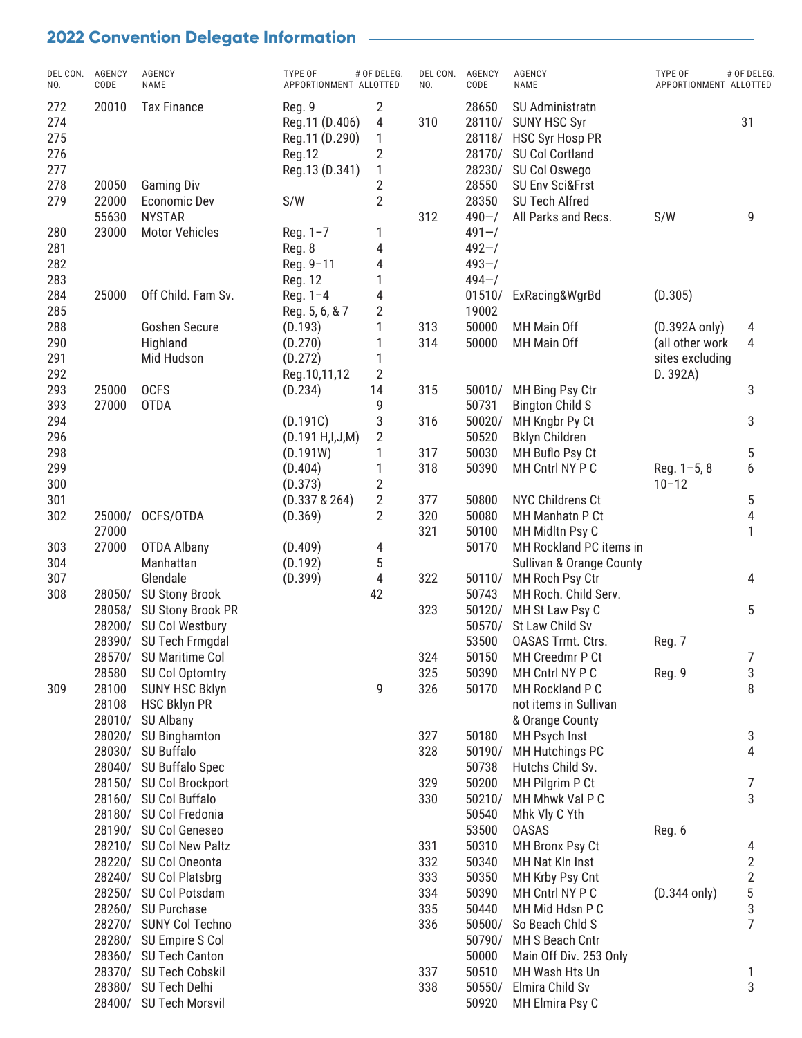| DEL CON.<br>NO.                        | AGENCY<br>CODE   | AGENCY<br>NAME                                 | TYPE OF<br>APPORTIONMENT ALLOTTED                                      | # OF DELEG.                             | DEL CON.<br>NO. | AGENCY<br>CODE                                         | AGENCY<br>NAME                                                                                                                     | TYPE OF<br>APPORTIONMENT ALLOTTED                               | # OF DELEG.                                     |
|----------------------------------------|------------------|------------------------------------------------|------------------------------------------------------------------------|-----------------------------------------|-----------------|--------------------------------------------------------|------------------------------------------------------------------------------------------------------------------------------------|-----------------------------------------------------------------|-------------------------------------------------|
| 272<br>274<br>275<br>276<br>277<br>278 | 20010<br>20050   | <b>Tax Finance</b><br><b>Gaming Div</b>        | Reg. 9<br>Reg.11 (D.406)<br>Reg.11 (D.290)<br>Reg.12<br>Reg.13 (D.341) | 2<br>4<br>1<br>2<br>1<br>$\overline{2}$ | 310             | 28650<br>28110/<br>28118/<br>28170/<br>28230/<br>28550 | SU Administratn<br><b>SUNY HSC Syr</b><br><b>HSC Syr Hosp PR</b><br>SU Col Cortland<br>SU Col Oswego<br><b>SU Env Sci&amp;Frst</b> |                                                                 | 31                                              |
| 279                                    | 22000<br>55630   | <b>Economic Dev</b><br><b>NYSTAR</b>           | S/W                                                                    | $\overline{2}$                          | 312             | 28350<br>$490 - /$                                     | SU Tech Alfred<br>All Parks and Recs.                                                                                              | S/W                                                             | 9                                               |
| 280<br>281<br>282<br>283               | 23000            | <b>Motor Vehicles</b>                          | Reg. 1-7<br>Reg. 8<br>Reg. 9-11<br>Reg. 12                             | 1<br>4<br>4<br>1                        |                 | $491 - /$<br>$492 - /$<br>$493 - /$<br>$494 - /$       |                                                                                                                                    |                                                                 |                                                 |
| 284<br>285                             | 25000            | Off Child. Fam Sv.                             | Reg. 1-4<br>Reg. 5, 6, & 7                                             | 4<br>2                                  |                 | 01510/<br>19002                                        | ExRacing&WgrBd                                                                                                                     | (D.305)                                                         |                                                 |
| 288<br>290<br>291<br>292               |                  | <b>Goshen Secure</b><br>Highland<br>Mid Hudson | (D.193)<br>(D.270)<br>(D.272)<br>Reg. 10, 11, 12                       | 1<br>1<br>1<br>$\overline{2}$           | 313<br>314      | 50000<br>50000                                         | MH Main Off<br>MH Main Off                                                                                                         | (D.392A only)<br>(all other work<br>sites excluding<br>D. 392A) | 4<br>4                                          |
| 293<br>393                             | 25000<br>27000   | <b>OCFS</b><br><b>OTDA</b>                     | (D.234)                                                                | 14<br>9                                 | 315             | 50010/<br>50731                                        | MH Bing Psy Ctr<br><b>Bington Child S</b>                                                                                          |                                                                 | 3                                               |
| 294<br>296                             |                  |                                                | (D.191C)<br>(D.191 H,I,J,M)                                            | 3<br>$\overline{2}$                     | 316             | 50020/<br>50520                                        | MH Kngbr Py Ct<br><b>Bklyn Children</b>                                                                                            |                                                                 | 3                                               |
| 298                                    |                  |                                                | (D.191W)                                                               | 1                                       | 317             | 50030                                                  | MH Buflo Psy Ct                                                                                                                    |                                                                 | 5                                               |
| 299<br>300                             |                  |                                                | (D.404)<br>(D.373)                                                     | 1<br>$\overline{2}$                     | 318             | 50390                                                  | MH Cntrl NY P C                                                                                                                    | Reg. $1-5, 8$<br>$10 - 12$                                      | 6                                               |
| 301                                    |                  |                                                | (D.337 & 264)                                                          | $\overline{\mathbf{c}}$                 | 377             | 50800                                                  | <b>NYC Childrens Ct</b>                                                                                                            |                                                                 | 5                                               |
| 302                                    | 25000/           | OCFS/OTDA                                      | (D.369)                                                                | $\overline{2}$                          | 320             | 50080                                                  | MH Manhatn P Ct                                                                                                                    |                                                                 | $\overline{4}$                                  |
| 303                                    | 27000<br>27000   | <b>OTDA Albany</b>                             | (D.409)                                                                | 4                                       | 321             | 50100<br>50170                                         | MH Midltn Psy C<br>MH Rockland PC items in                                                                                         |                                                                 | 1                                               |
| 304                                    |                  | Manhattan                                      | (D.192)                                                                | 5                                       |                 |                                                        | Sullivan & Orange County                                                                                                           |                                                                 |                                                 |
| 307                                    |                  | Glendale                                       | (D.399)                                                                | 4                                       | 322             | 50110/                                                 | MH Roch Psy Ctr                                                                                                                    |                                                                 | 4                                               |
| 308                                    | 28050/           | <b>SU Stony Brook</b>                          |                                                                        | 42                                      |                 | 50743                                                  | MH Roch. Child Serv.                                                                                                               |                                                                 |                                                 |
|                                        | 28058/           | SU Stony Brook PR                              |                                                                        |                                         | 323             | 50120/                                                 | MH St Law Psy C                                                                                                                    |                                                                 | 5                                               |
|                                        | 28200/           | SU Col Westbury                                |                                                                        |                                         |                 | 50570/                                                 | St Law Child Sv                                                                                                                    |                                                                 |                                                 |
|                                        | 28390/<br>28570/ | SU Tech Frmgdal                                |                                                                        |                                         |                 | 53500                                                  | <b>OASAS Trmt. Ctrs.</b>                                                                                                           | Reg. 7                                                          |                                                 |
|                                        | 28580            | <b>SU Maritime Col</b><br>SU Col Optomtry      |                                                                        |                                         | 324<br>325      | 50150<br>50390                                         | MH Creedmr P Ct<br>MH Cntrl NY P C                                                                                                 | Reg. 9                                                          | $\prime$<br>3                                   |
| 309                                    | 28100            | <b>SUNY HSC Bklyn</b>                          |                                                                        | 9                                       | 326             | 50170                                                  | MH Rockland P C                                                                                                                    |                                                                 | 8                                               |
|                                        | 28108            | <b>HSC Bklyn PR</b>                            |                                                                        |                                         |                 |                                                        | not items in Sullivan                                                                                                              |                                                                 |                                                 |
|                                        | 28010/           | SU Albany                                      |                                                                        |                                         |                 |                                                        | & Orange County                                                                                                                    |                                                                 |                                                 |
|                                        | 28020/           | SU Binghamton                                  |                                                                        |                                         | 327             | 50180                                                  | MH Psych Inst                                                                                                                      |                                                                 | 3                                               |
|                                        |                  | 28030/ SU Buffalo<br>28040/ SU Buffalo Spec    |                                                                        |                                         | 328             | 50190/                                                 | MH Hutchings PC<br>Hutchs Child Sv.                                                                                                |                                                                 | 4                                               |
|                                        |                  | 28150/ SU Col Brockport                        |                                                                        |                                         | 329             | 50738<br>50200                                         | MH Pilgrim P Ct                                                                                                                    |                                                                 | 7                                               |
|                                        |                  | 28160/ SU Col Buffalo                          |                                                                        |                                         | 330             | 50210/                                                 | MH Mhwk Val P C                                                                                                                    |                                                                 | 3                                               |
|                                        |                  | 28180/ SU Col Fredonia                         |                                                                        |                                         |                 | 50540                                                  | Mhk Vly C Yth                                                                                                                      |                                                                 |                                                 |
|                                        |                  | 28190/ SU Col Geneseo                          |                                                                        |                                         |                 | 53500                                                  | <b>OASAS</b>                                                                                                                       | Reg. 6                                                          |                                                 |
|                                        |                  | 28210/ SU Col New Paltz                        |                                                                        |                                         | 331             | 50310                                                  | MH Bronx Psy Ct                                                                                                                    |                                                                 | 4                                               |
|                                        |                  | 28220/ SU Col Oneonta                          |                                                                        |                                         | 332             | 50340                                                  | MH Nat Kln Inst                                                                                                                    |                                                                 | $\overline{c}$                                  |
|                                        |                  | 28240/ SU Col Platsbrg                         |                                                                        |                                         | 333             | 50350                                                  | MH Krby Psy Cnt                                                                                                                    |                                                                 |                                                 |
|                                        |                  | 28250/ SU Col Potsdam<br>28260/ SU Purchase    |                                                                        |                                         | 334<br>335      | 50390<br>50440                                         | MH Cntrl NY P C<br>MH Mid Hdsn P C                                                                                                 | $(D.344$ only)                                                  | $\begin{array}{c} 2 \\ 5 \\ 3 \\ 7 \end{array}$ |
|                                        |                  | 28270/ SUNY Col Techno                         |                                                                        |                                         | 336             | 50500/                                                 | So Beach Chld S                                                                                                                    |                                                                 |                                                 |
|                                        |                  | 28280/ SU Empire S Col                         |                                                                        |                                         |                 | 50790/                                                 | MH S Beach Cntr                                                                                                                    |                                                                 |                                                 |
|                                        |                  | 28360/ SU Tech Canton                          |                                                                        |                                         |                 | 50000                                                  | Main Off Div. 253 Only                                                                                                             |                                                                 |                                                 |
|                                        |                  | 28370/ SU Tech Cobskil                         |                                                                        |                                         | 337             | 50510                                                  | MH Wash Hts Un                                                                                                                     |                                                                 | 1                                               |
|                                        |                  | 28380/ SU Tech Delhi                           |                                                                        |                                         | 338             | 50550/                                                 | Elmira Child Sv                                                                                                                    |                                                                 | 3                                               |
|                                        |                  | 28400/ SU Tech Morsvil                         |                                                                        |                                         |                 | 50920                                                  | MH Elmira Psy C                                                                                                                    |                                                                 |                                                 |